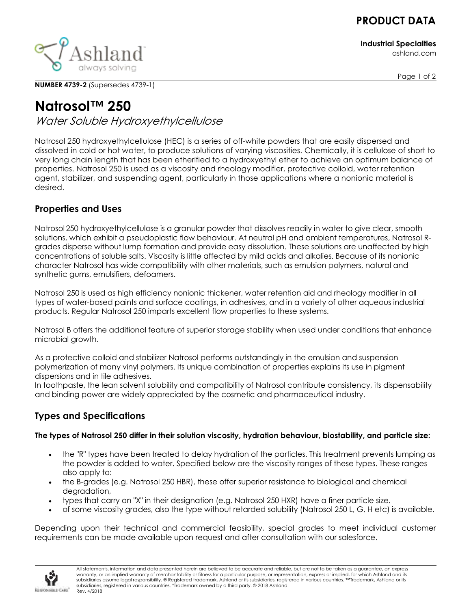## **PRODUCT DATA**

**Industrial Specialties**

ashland.com



**NUMBER 4739-2** (Supersedes 4739-1)

# **Natrosol™ 250**

Water Soluble Hydroxyethylcellulose

Natrosol 250 hydroxyethylcellulose (HEC) is a series of off-white powders that are easily dispersed and dissolved in cold or hot water, to produce solutions of varying viscosities. Chemically, it is cellulose of short to very long chain length that has been etherified to a hydroxyethyl ether to achieve an optimum balance of properties. Natrosol 250 is used as a viscosity and rheology modifier, protective colloid, water retention agent, stabilizer, and suspending agent, particularly in those applications where a nonionic material is desired.

## **Properties and Uses**

Natrosol 250 hydroxyethylcellulose is a granular powder that dissolves readily in water to give clear, smooth solutions, which exhibit a pseudoplastic flow behaviour. At neutral pH and ambient temperatures, Natrosol Rgrades disperse without lump formation and provide easy dissolution. These solutions are unaffected by high concentrations of soluble salts. Viscosity is little affected by mild acids and alkalies. Because of its nonionic character Natrosol has wide compatibility with other materials, such as emulsion polymers, natural and synthetic gums, emulsifiers, defoamers.

Natrosol 250 is used as high efficiency nonionic thickener, water retention aid and rheology modifier in all types of water-based paints and surface coatings, in adhesives, and in a variety of other aqueous industrial products. Regular Natrosol 250 imparts excellent flow properties to these systems.

Natrosol B offers the additional feature of superior storage stability when used under conditions that enhance microbial growth.

As a protective colloid and stabilizer Natrosol performs outstandingly in the emulsion and suspension polymerization of many vinyl polymers. Its unique combination of properties explains its use in pigment dispersions and in tile adhesives.

In toothpaste, the lean solvent solubility and compatibility of Natrosol contribute consistency, its dispensability and binding power are widely appreciated by the cosmetic and pharmaceutical industry.

## **Types and Specifications**

#### **The types of Natrosol 250 differ in their solution viscosity, hydration behaviour, biostability, and particle size:**

- the "R" types have been treated to delay hydration of the particles. This treatment prevents lumping as the powder is added to water. Specified below are the viscosity ranges of these types. These ranges also apply to:
- the B-grades (e.g. Natrosol 250 HBR), these offer superior resistance to biological and chemical degradation,
- types that carry an "X" in their designation (e.g. Natrosol 250 HXR) have a finer particle size.
- of some viscosity grades, also the type without retarded solubility (Natrosol 250 L, G, H etc) is available.

Depending upon their technical and commercial feasibility, special grades to meet individual customer requirements can be made available upon request and after consultation with our salesforce.